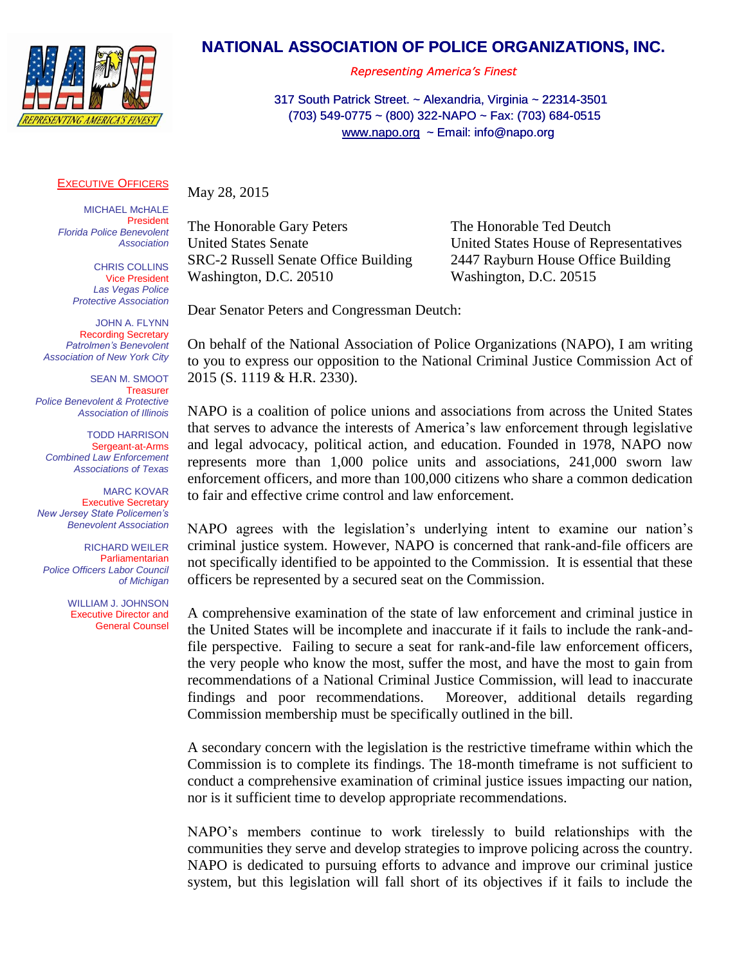

## **NATIONAL ASSOCIATION OF POLICE ORGANIZATIONS, INC.**

*Representing America's Finest*

317 South Patrick Street. ~ Alexandria, Virginia ~ 22314-3501 (703) 549-0775 ~ (800) 322-NAPO ~ Fax: (703) 684-0515 549-0775 [www.napo.org](http://www.napo.org/) ~ Email: info@napo.org

## **EXECUTIVE OFFICERS**

**MICHAEL McHALE**  President President  *Boston Police Florida Police Benevolent Patrolmen's Association Association*

**CHRIS COLLINS** Vice President  *Florida Police Benevolent Las Vegas Police Association Protective Association*

> JOHN A. FLYNN Recording Secretary Recording Secretary  *Las Vegas Police Patrolmen's Benevolent Protective Association Association of New York City*

 SEAN M. SMOOT SEAN M. SMOOT **Treasurer**  *Police Benevolent & Protective Police Benevolent & Protective Association of Illinois Association of Illinois* Treasurer

TODD HARRISON Sergeant-at-Arms Sergeant-at-Arms *New Jersey State Policemen's Combined Law Enforcement Benevolent Association Associations of Texas*

MARC KOVAR Executive Secretary Executive Secretary *Patrolmen's Benevolent New Jersey State Policemen's Association of New York City Benevolent Association*

RICHARD WEILER **Executive Director** Parliamentarian *Police Officers Labor Council of Michigan*

> WILLIAM J. JOHNSON Executive Director and General Counsel

May 28, 2015

SRC-2 Russell Senate Office Building 2447 Rayburn House Office Building Washington, D.C. 20510 Washington, D.C. 20515

The Honorable Gary Peters The Honorable Ted Deutch United States Senate United States House of Representatives

Dear Senator Peters and Congressman Deutch:

On behalf of the National Association of Police Organizations (NAPO), I am writing to you to express our opposition to the National Criminal Justice Commission Act of 2015 (S. 1119 & H.R. 2330).

NAPO is a coalition of police unions and associations from across the United States that serves to advance the interests of America's law enforcement through legislative and legal advocacy, political action, and education. Founded in 1978, NAPO now represents more than 1,000 police units and associations, 241,000 sworn law enforcement officers, and more than 100,000 citizens who share a common dedication to fair and effective crime control and law enforcement.

NAPO agrees with the legislation's underlying intent to examine our nation's criminal justice system. However, NAPO is concerned that rank-and-file officers are not specifically identified to be appointed to the Commission. It is essential that these officers be represented by a secured seat on the Commission.

A comprehensive examination of the state of law enforcement and criminal justice in the United States will be incomplete and inaccurate if it fails to include the rank-andfile perspective. Failing to secure a seat for rank-and-file law enforcement officers, the very people who know the most, suffer the most, and have the most to gain from recommendations of a National Criminal Justice Commission, will lead to inaccurate findings and poor recommendations. Moreover, additional details regarding Commission membership must be specifically outlined in the bill.

A secondary concern with the legislation is the restrictive timeframe within which the Commission is to complete its findings. The 18-month timeframe is not sufficient to conduct a comprehensive examination of criminal justice issues impacting our nation, nor is it sufficient time to develop appropriate recommendations.

NAPO's members continue to work tirelessly to build relationships with the communities they serve and develop strategies to improve policing across the country. NAPO is dedicated to pursuing efforts to advance and improve our criminal justice system, but this legislation will fall short of its objectives if it fails to include the